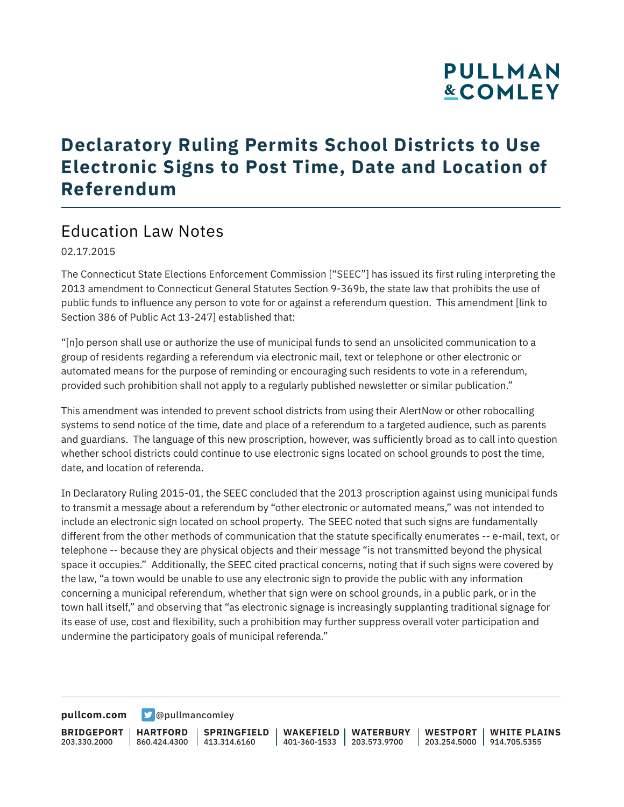# **PULLMAN &COMLEY**

## **Declaratory Ruling Permits School Districts to Use Electronic Signs to Post Time, Date and Location of Referendum**

### Education Law Notes

02.17.2015

The Connecticut State Elections Enforcement Commission ["SEEC"] has issued its first ruling interpreting the 2013 amendment to Connecticut General Statutes Section 9-369b, the state law that prohibits the use of public funds to influence any person to vote for or against a referendum question. This amendment [link to Section 386 of Public Act 13-247] established that:

"[n]o person shall use or authorize the use of municipal funds to send an unsolicited communication to a group of residents regarding a referendum via electronic mail, text or telephone or other electronic or automated means for the purpose of reminding or encouraging such residents to vote in a referendum, provided such prohibition shall not apply to a regularly published newsletter or similar publication."

This amendment was intended to prevent school districts from using their AlertNow or other robocalling systems to send notice of the time, date and place of a referendum to a targeted audience, such as parents and guardians. The language of this new proscription, however, was sufficiently broad as to call into question whether school districts could continue to use electronic signs located on school grounds to post the time, date, and location of referenda.

In Declaratory Ruling 2015-01, the SEEC concluded that the 2013 proscription against using municipal funds to transmit a message about a referendum by "other electronic or automated means," was not intended to include an electronic sign located on school property. The SEEC noted that such signs are fundamentally different from the other methods of communication that the statute specifically enumerates -- e-mail, text, or telephone -- because they are physical objects and their message "is not transmitted beyond the physical space it occupies." Additionally, the SEEC cited practical concerns, noting that if such signs were covered by the law, "a town would be unable to use any electronic sign to provide the public with any information concerning a municipal referendum, whether that sign were on school grounds, in a public park, or in the town hall itself," and observing that "as electronic signage is increasingly supplanting traditional signage for its ease of use, cost and flexibility, such a prohibition may further suppress overall voter participation and undermine the participatory goals of municipal referenda."

**[pullcom.com](https://www.pullcom.com) g** [@pullmancomley](https://twitter.com/PullmanComley)

**BRIDGEPORT** 203.330.2000 **HARTFORD** 860.424.4300 413.314.6160 **SPRINGFIELD WAKEFIELD WATERBURY** 401-360-1533 203.573.9700 **WESTPORT WHITE PLAINS** 203.254.5000 914.705.5355